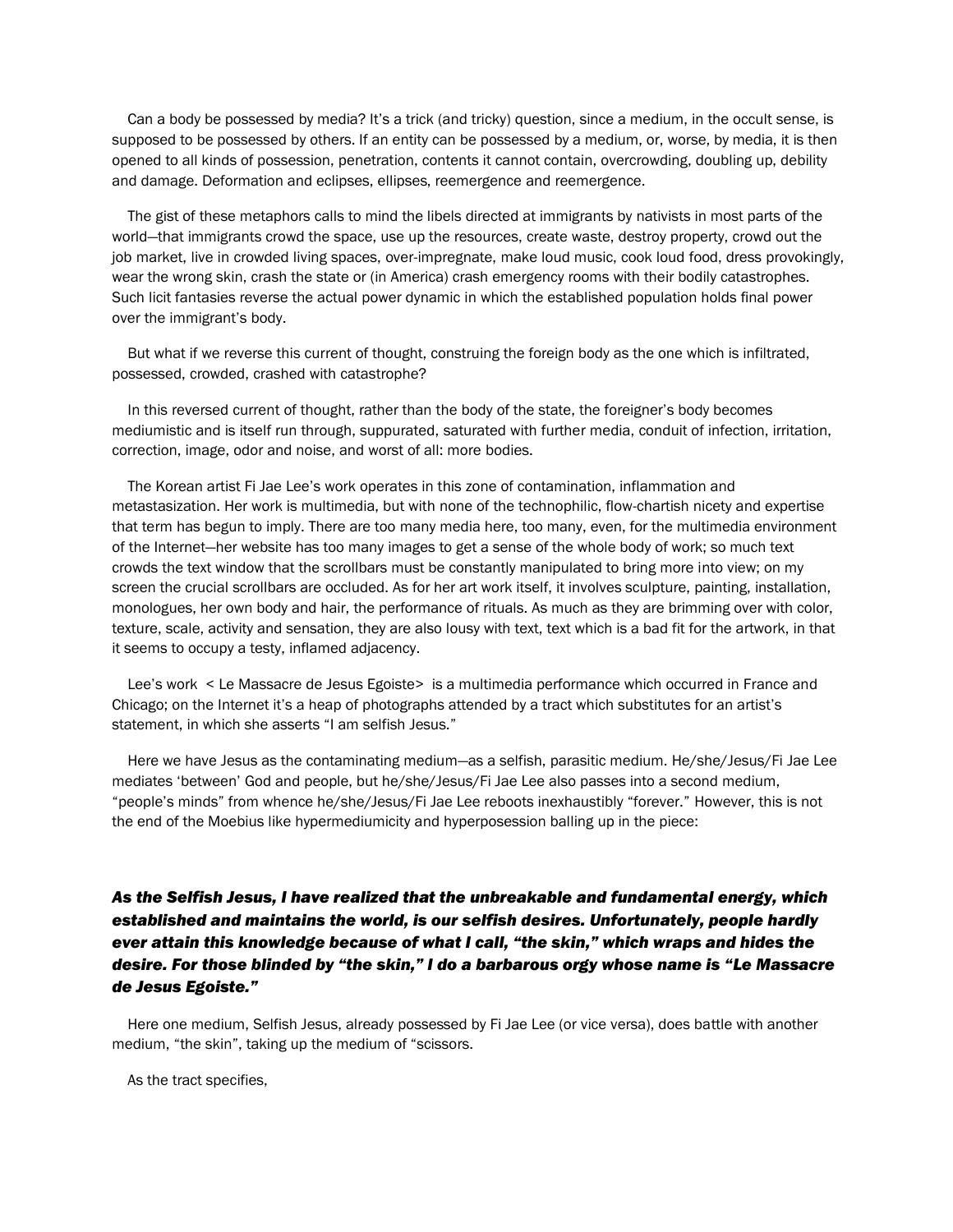Can a body be possessed by media? It's a trick (and tricky) question, since a medium, in the occult sense, is supposed to be possessed by others. If an entity can be possessed by a medium, or, worse, by media, it is then opened to all kinds of possession, penetration, contents it cannot contain, overcrowding, doubling up, debility and damage. Deformation and eclipses, ellipses, reemergence and reemergence.

The gist of these metaphors calls to mind the libels directed at immigrants by nativists in most parts of the world—that immigrants crowd the space, use up the resources, create waste, destroy property, crowd out the job market, live in crowded living spaces, over-impregnate, make loud music, cook loud food, dress provokingly, wear the wrong skin, crash the state or (in America) crash emergency rooms with their bodily catastrophes. Such licit fantasies reverse the actual power dynamic in which the established population holds final power over the immigrant's body.

But what if we reverse this current of thought, construing the foreign body as the one which is infiltrated, possessed, crowded, crashed with catastrophe?

In this reversed current of thought, rather than the body of the state, the foreigner's body becomes mediumistic and is itself run through, suppurated, saturated with further media, conduit of infection, irritation, correction, image, odor and noise, and worst of all: more bodies.

The Korean artist Fi Jae Lee's work operates in this zone of contamination, inflammation and metastasization. Her work is multimedia, but with none of the technophilic, flow-chartish nicety and expertise that term has begun to imply. There are too many media here, too many, even, for the multimedia environment of the Internet—her website has too many images to get a sense of the whole body of work; so much text crowds the text window that the scrollbars must be constantly manipulated to bring more into view; on my screen the crucial scrollbars are occluded. As for her art work itself, it involves sculpture, painting, installation, monologues, her own body and hair, the performance of rituals. As much as they are brimming over with color, texture, scale, activity and sensation, they are also lousy with text, text which is a bad fit for the artwork, in that it seems to occupy a testy, inflamed adjacency.

Lee's work < Le Massacre de Jesus Egoiste> is a multimedia performance which occurred in France and Chicago; on the Internet it's a heap of photographs attended by a tract which substitutes for an artist's statement, in which she asserts "I am selfish Jesus."

Here we have Jesus as the contaminating medium—as a selfish, parasitic medium. He/she/Jesus/Fi Jae Lee mediates 'between' God and people, but he/she/Jesus/Fi Jae Lee also passes into a second medium, "people's minds" from whence he/she/Jesus/Fi Jae Lee reboots inexhaustibly "forever." However, this is not the end of the Moebius like hypermediumicity and hyperposession balling up in the piece:

*As the Selfish Jesus, I have realized that the unbreakable and fundamental energy, which established and maintains the world, is our selfish desires. Unfortunately, people hardly ever attain this knowledge because of what I call, "the skin," which wraps and hides the desire. For those blinded by "the skin," I do a barbarous orgy whose name is "Le Massacre de Jesus Egoiste."*

Here one medium, Selfish Jesus, already possessed by Fi Jae Lee (or vice versa), does battle with another medium, "the skin", taking up the medium of "scissors.

As the tract specifies,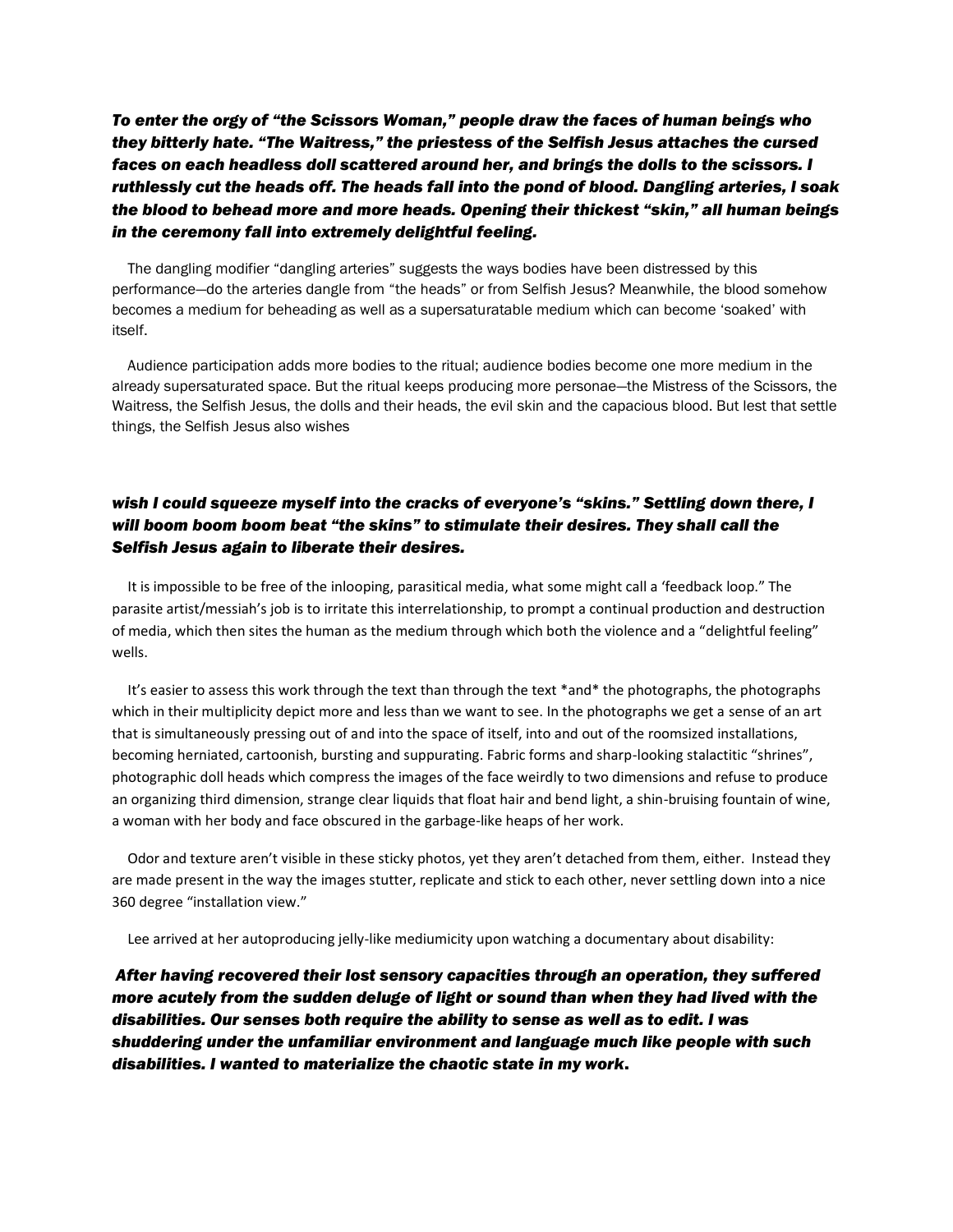*To enter the orgy of "the Scissors Woman," people draw the faces of human beings who they bitterly hate. "The Waitress," the priestess of the Selfish Jesus attaches the cursed faces on each headless doll scattered around her, and brings the dolls to the scissors. I ruthlessly cut the heads off. The heads fall into the pond of blood. Dangling arteries, I soak the blood to behead more and more heads. Opening their thickest "skin," all human beings in the ceremony fall into extremely delightful feeling.*

The dangling modifier "dangling arteries" suggests the ways bodies have been distressed by this performance—do the arteries dangle from "the heads" or from Selfish Jesus? Meanwhile, the blood somehow becomes a medium for beheading as well as a supersaturatable medium which can become 'soaked' with itself.

Audience participation adds more bodies to the ritual; audience bodies become one more medium in the already supersaturated space. But the ritual keeps producing more personae—the Mistress of the Scissors, the Waitress, the Selfish Jesus, the dolls and their heads, the evil skin and the capacious blood. But lest that settle things, the Selfish Jesus also wishes

## *wish I could squeeze myself into the cracks of everyone's "skins." Settling down there, I will boom boom boom beat "the skins" to stimulate their desires. They shall call the Selfish Jesus again to liberate their desires.*

It is impossible to be free of the inlooping, parasitical media, what some might call a 'feedback loop." The parasite artist/messiah's job is to irritate this interrelationship, to prompt a continual production and destruction of media, which then sites the human as the medium through which both the violence and a "delightful feeling" wells.

It's easier to assess this work through the text than through the text \*and\* the photographs, the photographs which in their multiplicity depict more and less than we want to see. In the photographs we get a sense of an art that is simultaneously pressing out of and into the space of itself, into and out of the roomsized installations, becoming herniated, cartoonish, bursting and suppurating. Fabric forms and sharp-looking stalactitic "shrines", photographic doll heads which compress the images of the face weirdly to two dimensions and refuse to produce an organizing third dimension, strange clear liquids that float hair and bend light, a shin-bruising fountain of wine, a woman with her body and face obscured in the garbage-like heaps of her work.

Odor and texture aren't visible in these sticky photos, yet they aren't detached from them, either. Instead they are made present in the way the images stutter, replicate and stick to each other, never settling down into a nice 360 degree "installation view."

Lee arrived at her autoproducing jelly-like mediumicity upon watching a documentary about disability:

*After having recovered their lost sensory capacities through an operation, they suffered more acutely from the sudden deluge of light or sound than when they had lived with the disabilities. Our senses both require the ability to sense as well as to edit. I was shuddering under the unfamiliar environment and language much like people with such disabilities. I wanted to materialize the chaotic state in my work*.